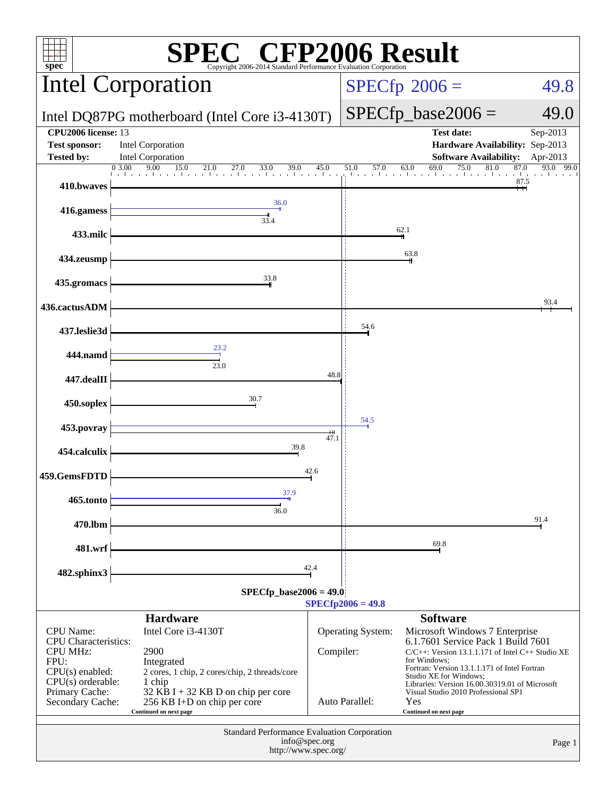| <b>EC<sup>®</sup> CFP2006 Result</b><br>$spec*$<br>Copyright 2006-2014 Standard Performance Evaluation Corporation                                           |                                                                                                                                                                                                                        |           |                                                                                       |                                                                                                                                                                                                                                                                                                                                                                      |                                      |  |  |
|--------------------------------------------------------------------------------------------------------------------------------------------------------------|------------------------------------------------------------------------------------------------------------------------------------------------------------------------------------------------------------------------|-----------|---------------------------------------------------------------------------------------|----------------------------------------------------------------------------------------------------------------------------------------------------------------------------------------------------------------------------------------------------------------------------------------------------------------------------------------------------------------------|--------------------------------------|--|--|
|                                                                                                                                                              | <b>Intel Corporation</b>                                                                                                                                                                                               |           | $SPECfp^{\circ}2006 =$                                                                | 49.8                                                                                                                                                                                                                                                                                                                                                                 |                                      |  |  |
|                                                                                                                                                              | Intel DQ87PG motherboard (Intel Core i3-4130T)                                                                                                                                                                         |           | $SPECfp\_base2006 =$                                                                  | 49.0                                                                                                                                                                                                                                                                                                                                                                 |                                      |  |  |
| <b>CPU2006</b> license: 13<br><b>Test sponsor:</b><br><b>Tested by:</b>                                                                                      | <b>Intel Corporation</b><br>Intel Corporation                                                                                                                                                                          |           | <b>Test date:</b><br>Hardware Availability: Sep-2013<br><b>Software Availability:</b> | Sep-2013<br>Apr-2013                                                                                                                                                                                                                                                                                                                                                 |                                      |  |  |
| 410.bwaves                                                                                                                                                   | $\begin{array}{ccccccccc}\n0 & 3.00 & 9.00 & 15.0 & 21.0 & 27.0 & 33.0 & 39.0 & 45.0\n\end{array}$                                                                                                                     |           | 51.0<br>57.0                                                                          | 69.0<br>63.0<br>75.0<br>81.0<br>المتما أنستنا والمتعارف والمتحارين والرواقي                                                                                                                                                                                                                                                                                          | 87.0<br>93.0<br>99.0<br>r La<br>87.5 |  |  |
| 416.gamess                                                                                                                                                   | 36.0                                                                                                                                                                                                                   |           |                                                                                       |                                                                                                                                                                                                                                                                                                                                                                      |                                      |  |  |
| 433.milc                                                                                                                                                     | 33.4                                                                                                                                                                                                                   |           |                                                                                       | 62.1                                                                                                                                                                                                                                                                                                                                                                 |                                      |  |  |
| 434.zeusmp                                                                                                                                                   |                                                                                                                                                                                                                        |           |                                                                                       | 63.8                                                                                                                                                                                                                                                                                                                                                                 |                                      |  |  |
| 435.gromacs                                                                                                                                                  | 33.8                                                                                                                                                                                                                   |           |                                                                                       |                                                                                                                                                                                                                                                                                                                                                                      |                                      |  |  |
| 436.cactusADM                                                                                                                                                |                                                                                                                                                                                                                        |           |                                                                                       |                                                                                                                                                                                                                                                                                                                                                                      | 93.4                                 |  |  |
| 437.leslie3d                                                                                                                                                 | 23.2                                                                                                                                                                                                                   |           | 54.6                                                                                  |                                                                                                                                                                                                                                                                                                                                                                      |                                      |  |  |
| 444.namd                                                                                                                                                     | 23.0                                                                                                                                                                                                                   | 48.8      |                                                                                       |                                                                                                                                                                                                                                                                                                                                                                      |                                      |  |  |
| 447.dealII<br>450.soplex                                                                                                                                     | 30.7                                                                                                                                                                                                                   |           |                                                                                       |                                                                                                                                                                                                                                                                                                                                                                      |                                      |  |  |
| 453.povray                                                                                                                                                   |                                                                                                                                                                                                                        | 54.5      |                                                                                       |                                                                                                                                                                                                                                                                                                                                                                      |                                      |  |  |
| 454.calculix                                                                                                                                                 | 39.8                                                                                                                                                                                                                   |           |                                                                                       |                                                                                                                                                                                                                                                                                                                                                                      |                                      |  |  |
| 459.GemsFDTD                                                                                                                                                 |                                                                                                                                                                                                                        | 42.6      |                                                                                       |                                                                                                                                                                                                                                                                                                                                                                      |                                      |  |  |
| 465.tonto                                                                                                                                                    | 37.9<br>36.0                                                                                                                                                                                                           |           |                                                                                       |                                                                                                                                                                                                                                                                                                                                                                      |                                      |  |  |
| 470.lbm                                                                                                                                                      |                                                                                                                                                                                                                        |           |                                                                                       |                                                                                                                                                                                                                                                                                                                                                                      | 91.4                                 |  |  |
| 481.wrf                                                                                                                                                      |                                                                                                                                                                                                                        |           |                                                                                       | 69.8                                                                                                                                                                                                                                                                                                                                                                 |                                      |  |  |
| 42.4<br>482.sphinx3<br>$SPECfp\_base2006 = 49.0$<br>$SPECfp2006 = 49.8$                                                                                      |                                                                                                                                                                                                                        |           |                                                                                       |                                                                                                                                                                                                                                                                                                                                                                      |                                      |  |  |
| <b>CPU</b> Name:<br><b>CPU</b> Characteristics:<br><b>CPU MHz:</b><br>FPU:<br>$CPU(s)$ enabled:<br>$CPU(s)$ orderable:<br>Primary Cache:<br>Secondary Cache: | <b>Hardware</b><br>Intel Core i3-4130T<br>2900<br>Integrated<br>2 cores, 1 chip, 2 cores/chip, 2 threads/core<br>1 chip<br>32 KB I + 32 KB D on chip per core<br>256 KB I+D on chip per core<br>Continued on next page | Compiler: | <b>Operating System:</b><br>Auto Parallel:                                            | <b>Software</b><br>Microsoft Windows 7 Enterprise<br>6.1.7601 Service Pack 1 Build 7601<br>$C/C++$ : Version 13.1.1.171 of Intel $C++$ Studio XE<br>for Windows:<br>Fortran: Version 13.1.1.171 of Intel Fortran<br>Studio XE for Windows;<br>Libraries: Version 16.00.30319.01 of Microsoft<br>Visual Studio 2010 Professional SP1<br>Yes<br>Continued on next page |                                      |  |  |
| Standard Performance Evaluation Corporation<br>info@spec.org<br>Page 1<br>http://www.spec.org/                                                               |                                                                                                                                                                                                                        |           |                                                                                       |                                                                                                                                                                                                                                                                                                                                                                      |                                      |  |  |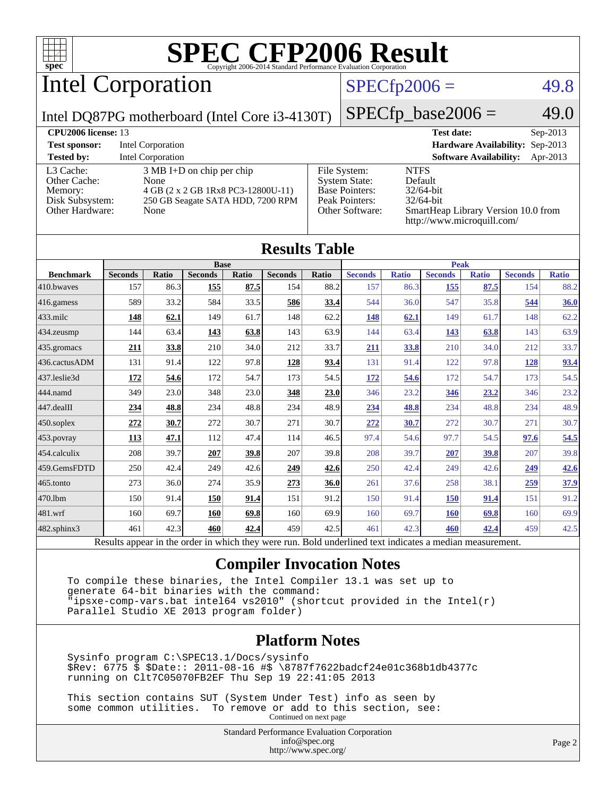

Intel Corporation

### $SPECfp2006 = 49.8$  $SPECfp2006 = 49.8$

Intel DQ87PG motherboard (Intel Core i3-4130T)

 $SPECfp\_base2006 = 49.0$ 

| <b>CPU2006 license: 13</b>                                                 |                                                                                                                                |                                                                                                    | <b>Test date:</b><br>$Sep-2013$                                                                                             |
|----------------------------------------------------------------------------|--------------------------------------------------------------------------------------------------------------------------------|----------------------------------------------------------------------------------------------------|-----------------------------------------------------------------------------------------------------------------------------|
| <b>Test sponsor:</b>                                                       | Intel Corporation                                                                                                              |                                                                                                    | Hardware Availability: Sep-2013                                                                                             |
| <b>Tested by:</b>                                                          | Intel Corporation                                                                                                              |                                                                                                    | <b>Software Availability:</b><br>Apr-2013                                                                                   |
| L3 Cache:<br>Other Cache:<br>Memory:<br>Disk Subsystem:<br>Other Hardware: | $3 \text{ MB I+D}$ on chip per chip<br>None<br>4 GB (2 x 2 GB 1Rx8 PC3-12800U-11)<br>250 GB Seagate SATA HDD, 7200 RPM<br>None | File System:<br><b>System State:</b><br><b>Base Pointers:</b><br>Peak Pointers:<br>Other Software: | <b>NTFS</b><br>Default<br>$32/64$ -bit<br>$32/64$ -bit<br>SmartHeap Library Version 10.0 from<br>http://www.microquill.com/ |

| <b>Results Table</b> |                |              |                |              |                |       |                |              |                |              |                |              |
|----------------------|----------------|--------------|----------------|--------------|----------------|-------|----------------|--------------|----------------|--------------|----------------|--------------|
| <b>Base</b>          |                |              |                |              | <b>Peak</b>    |       |                |              |                |              |                |              |
| <b>Benchmark</b>     | <b>Seconds</b> | <b>Ratio</b> | <b>Seconds</b> | <b>Ratio</b> | <b>Seconds</b> | Ratio | <b>Seconds</b> | <b>Ratio</b> | <b>Seconds</b> | <b>Ratio</b> | <b>Seconds</b> | <b>Ratio</b> |
| 410.bwayes           | 157            | 86.3         | <b>155</b>     | 87.5         | 154            | 88.2  | 157            | 86.3         | <b>155</b>     | 87.5         | 154            | 88.2         |
| 416.gamess           | 589            | 33.2         | 584            | 33.5         | 586            | 33.4  | 544            | 36.0         | 547            | 35.8         | 544            | 36.0         |
| $433$ .milc          | 148            | 62.1         | 149            | 61.7         | 148            | 62.2  | <u>148</u>     | 62.1         | 149            | 61.7         | 148            | 62.2         |
| 434.zeusmp           | 144            | 63.4         | <u>143</u>     | 63.8         | 143            | 63.9  | 144            | 63.4         | <u>143</u>     | 63.8         | 143            | 63.9         |
| 435.gromacs          | 211            | 33.8         | 210            | 34.0         | 212            | 33.7  | <u>211</u>     | 33.8         | 210            | 34.0         | 212            | 33.7         |
| 436.cactusADM        | 131            | 91.4         | 122            | 97.8         | 128            | 93.4  | 131            | 91.4         | 122            | 97.8         | <u>128</u>     | 93.4         |
| 437.leslie3d         | 172            | 54.6         | 172            | 54.7         | 173            | 54.5  | <u>172</u>     | 54.6         | 172            | 54.7         | 173            | 54.5         |
| 444.namd             | 349            | 23.0         | 348            | 23.0         | 348            | 23.0  | 346            | 23.2         | 346            | 23.2         | 346            | 23.2         |
| 447.dealII           | 234            | 48.8         | 234            | 48.8         | 234            | 48.9  | <u>234</u>     | 48.8         | 234            | 48.8         | 234            | 48.9         |
| $450$ .soplex        | 272            | 30.7         | 272            | 30.7         | 271            | 30.7  | <u>272</u>     | 30.7         | 272            | 30.7         | 271            | 30.7         |
| 453.povray           | 113            | 47.1         | 112            | 47.4         | 114            | 46.5  | 97.4           | 54.6         | 97.7           | 54.5         | 97.6           | 54.5         |
| 454.calculix         | 208            | 39.7         | 207            | 39.8         | 207            | 39.8  | 208            | 39.7         | 207            | 39.8         | 207            | 39.8         |
| 459.GemsFDTD         | 250            | 42.4         | 249            | 42.6         | 249            | 42.6  | 250            | 42.4         | 249            | 42.6         | 249            | 42.6         |
| $465$ .tonto         | 273            | 36.0         | 274            | 35.9         | 273            | 36.0  | 261            | 37.6         | 258            | 38.1         | 259            | 37.9         |
| 470.1bm              | 150            | 91.4         | 150            | 91.4         | 151            | 91.2  | 150            | 91.4         | <b>150</b>     | 91.4         | 151            | 91.2         |
| 481.wrf              | 160            | 69.7         | 160            | 69.8         | 160            | 69.9  | 160            | 69.7         | <b>160</b>     | 69.8         | 160            | 69.9         |
| $482$ .sphinx $3$    | 461            | 42.3         | 460            | 42.4         | 459            | 42.5  | 461            | 42.3         | 460            | 42.4         | 459            | 42.5         |

Results appear in the [order in which they were run.](http://www.spec.org/auto/cpu2006/Docs/result-fields.html#RunOrder) Bold underlined text [indicates a median measurement.](http://www.spec.org/auto/cpu2006/Docs/result-fields.html#Median)

#### **[Compiler Invocation Notes](http://www.spec.org/auto/cpu2006/Docs/result-fields.html#CompilerInvocationNotes)**

 To compile these binaries, the Intel Compiler 13.1 was set up to generate 64-bit binaries with the command: "ipsxe-comp-vars.bat intel64 vs2010" (shortcut provided in the Intel(r) Parallel Studio XE 2013 program folder)

#### **[Platform Notes](http://www.spec.org/auto/cpu2006/Docs/result-fields.html#PlatformNotes)**

 Sysinfo program C:\SPEC13.1/Docs/sysinfo \$Rev: 6775 \$ \$Date:: 2011-08-16 #\$ \8787f7622badcf24e01c368b1db4377c running on Clt7C05070FB2EF Thu Sep 19 22:41:05 2013

 This section contains SUT (System Under Test) info as seen by some common utilities. To remove or add to this section, see: Continued on next page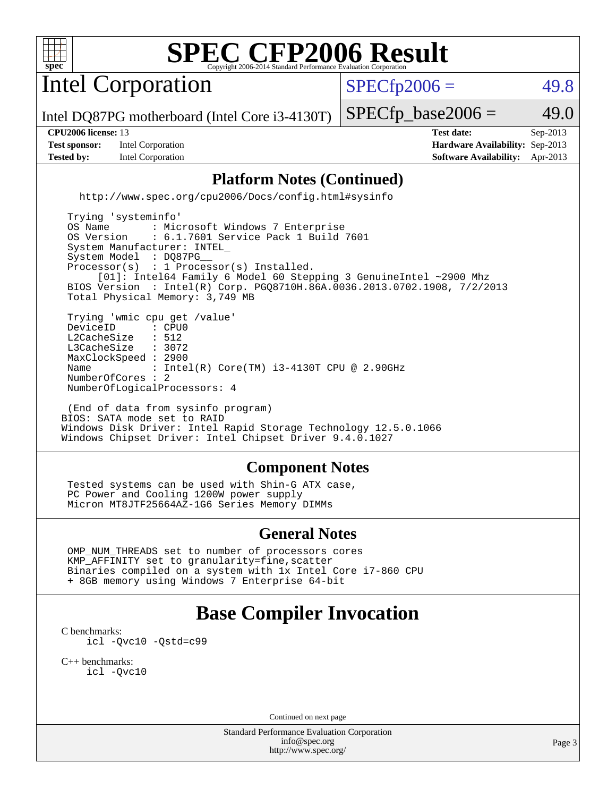

Intel Corporation

 $SPECTp2006 = 49.8$ 

Intel DQ87PG motherboard (Intel Core i3-4130T)

**[Test sponsor:](http://www.spec.org/auto/cpu2006/Docs/result-fields.html#Testsponsor)** Intel Corporation **[Hardware Availability:](http://www.spec.org/auto/cpu2006/Docs/result-fields.html#HardwareAvailability)** Sep-2013

 $SPECTp\_base2006 = 49.0$ 

**[CPU2006 license:](http://www.spec.org/auto/cpu2006/Docs/result-fields.html#CPU2006license)** 13 **[Test date:](http://www.spec.org/auto/cpu2006/Docs/result-fields.html#Testdate)** Sep-2013 **[Tested by:](http://www.spec.org/auto/cpu2006/Docs/result-fields.html#Testedby)** Intel Corporation **[Software Availability:](http://www.spec.org/auto/cpu2006/Docs/result-fields.html#SoftwareAvailability)** Apr-2013

### **[Platform Notes \(Continued\)](http://www.spec.org/auto/cpu2006/Docs/result-fields.html#PlatformNotes)**

<http://www.spec.org/cpu2006/Docs/config.html#sysinfo>

 Trying 'systeminfo' OS Name : Microsoft Windows 7 Enterprise<br>OS Version : 6.1.7601 Service Pack 1 Build : 6.1.7601 Service Pack 1 Build 7601 System Manufacturer: INTEL\_ System Model : DQ87PG Processor(s) : 1 Processor(s) Installed. [01]: Intel64 Family 6 Model 60 Stepping 3 GenuineIntel ~2900 Mhz BIOS Version : Intel(R) Corp. PGQ8710H.86A.0036.2013.0702.1908, 7/2/2013 Total Physical Memory: 3,749 MB Trying 'wmic cpu get /value' DeviceID : CPU<br>L2CacheSize : 512 L2CacheSize : 512<br>L3CacheSize : 3072 L3CacheSize MaxClockSpeed : 2900 Name : Intel(R) Core(TM) i3-4130T CPU @ 2.90GHz NumberOfCores : 2 NumberOfLogicalProcessors: 4

 (End of data from sysinfo program) BIOS: SATA mode set to RAID Windows Disk Driver: Intel Rapid Storage Technology 12.5.0.1066 Windows Chipset Driver: Intel Chipset Driver 9.4.0.1027

#### **[Component Notes](http://www.spec.org/auto/cpu2006/Docs/result-fields.html#ComponentNotes)**

 Tested systems can be used with Shin-G ATX case, PC Power and Cooling 1200W power supply Micron MT8JTF25664AZ-1G6 Series Memory DIMMs

#### **[General Notes](http://www.spec.org/auto/cpu2006/Docs/result-fields.html#GeneralNotes)**

 OMP\_NUM\_THREADS set to number of processors cores KMP\_AFFINITY set to granularity=fine,scatter Binaries compiled on a system with 1x Intel Core i7-860 CPU + 8GB memory using Windows 7 Enterprise 64-bit

# **[Base Compiler Invocation](http://www.spec.org/auto/cpu2006/Docs/result-fields.html#BaseCompilerInvocation)**

[C benchmarks](http://www.spec.org/auto/cpu2006/Docs/result-fields.html#Cbenchmarks): [icl -Qvc10](http://www.spec.org/cpu2006/results/res2014q3/cpu2006-20140701-30194.flags.html#user_CCbase_intel_icc_vc10_9607f3ecbcdf68042245f068e51b40c1) [-Qstd=c99](http://www.spec.org/cpu2006/results/res2014q3/cpu2006-20140701-30194.flags.html#user_CCbase_intel_compiler_c99_mode_1a3d110e3041b3ad4466830521bdad2a)

[C++ benchmarks:](http://www.spec.org/auto/cpu2006/Docs/result-fields.html#CXXbenchmarks) [icl -Qvc10](http://www.spec.org/cpu2006/results/res2014q3/cpu2006-20140701-30194.flags.html#user_CXXbase_intel_icc_vc10_9607f3ecbcdf68042245f068e51b40c1)

Continued on next page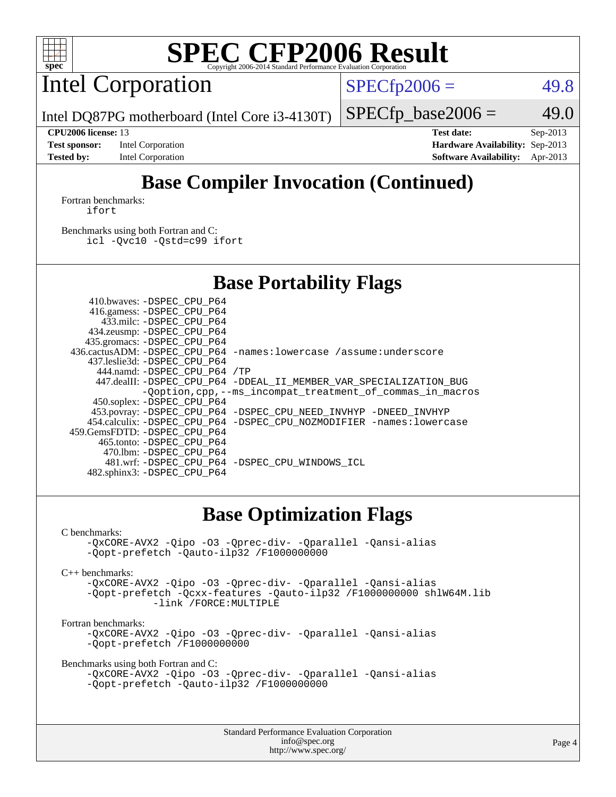

Intel Corporation

 $SPECfp2006 = 49.8$  $SPECfp2006 = 49.8$ 

Intel DQ87PG motherboard (Intel Core i3-4130T)

**[Test sponsor:](http://www.spec.org/auto/cpu2006/Docs/result-fields.html#Testsponsor)** Intel Corporation **[Hardware Availability:](http://www.spec.org/auto/cpu2006/Docs/result-fields.html#HardwareAvailability)** Sep-2013

 $SPECfp\_base2006 = 49.0$ **[CPU2006 license:](http://www.spec.org/auto/cpu2006/Docs/result-fields.html#CPU2006license)** 13 **[Test date:](http://www.spec.org/auto/cpu2006/Docs/result-fields.html#Testdate)** Sep-2013

**[Tested by:](http://www.spec.org/auto/cpu2006/Docs/result-fields.html#Testedby)** Intel Corporation **[Software Availability:](http://www.spec.org/auto/cpu2006/Docs/result-fields.html#SoftwareAvailability)** Apr-2013 **[Base Compiler Invocation \(Continued\)](http://www.spec.org/auto/cpu2006/Docs/result-fields.html#BaseCompilerInvocation)**

#### [Fortran benchmarks](http://www.spec.org/auto/cpu2006/Docs/result-fields.html#Fortranbenchmarks): [ifort](http://www.spec.org/cpu2006/results/res2014q3/cpu2006-20140701-30194.flags.html#user_FCbase_intel_ifort_8a5e5e06b19a251bdeaf8fdab5d62f20)

[Benchmarks using both Fortran and C](http://www.spec.org/auto/cpu2006/Docs/result-fields.html#BenchmarksusingbothFortranandC): [icl -Qvc10](http://www.spec.org/cpu2006/results/res2014q3/cpu2006-20140701-30194.flags.html#user_CC_FCbase_intel_icc_vc10_9607f3ecbcdf68042245f068e51b40c1) [-Qstd=c99](http://www.spec.org/cpu2006/results/res2014q3/cpu2006-20140701-30194.flags.html#user_CC_FCbase_intel_compiler_c99_mode_1a3d110e3041b3ad4466830521bdad2a) [ifort](http://www.spec.org/cpu2006/results/res2014q3/cpu2006-20140701-30194.flags.html#user_CC_FCbase_intel_ifort_8a5e5e06b19a251bdeaf8fdab5d62f20)

## **[Base Portability Flags](http://www.spec.org/auto/cpu2006/Docs/result-fields.html#BasePortabilityFlags)**

| 410.bwaves: -DSPEC CPU P64   |                                                                       |
|------------------------------|-----------------------------------------------------------------------|
| 416.gamess: -DSPEC_CPU_P64   |                                                                       |
| 433.milc: -DSPEC CPU P64     |                                                                       |
| 434.zeusmp: - DSPEC_CPU_P64  |                                                                       |
| 435.gromacs: -DSPEC CPU P64  |                                                                       |
|                              | 436.cactusADM: -DSPEC CPU P64 -names: lowercase /assume: underscore   |
| 437.leslie3d: -DSPEC CPU P64 |                                                                       |
| 444.namd: -DSPEC CPU P64 /TP |                                                                       |
|                              | 447.dealII: -DSPEC CPU_P64 -DDEAL_II_MEMBER_VAR_SPECIALIZATION_BUG    |
|                              | -Ooption, cpp, --ms incompat treatment of commas in macros            |
| 450.soplex: -DSPEC CPU P64   |                                                                       |
|                              | 453.povray: -DSPEC_CPU_P64 -DSPEC_CPU_NEED_INVHYP -DNEED_INVHYP       |
|                              | 454.calculix: -DSPEC CPU P64 -DSPEC CPU NOZMODIFIER -names: lowercase |
| 459.GemsFDTD: -DSPEC CPU P64 |                                                                       |
| 465.tonto: -DSPEC CPU P64    |                                                                       |
| 470.1bm: -DSPEC CPU P64      |                                                                       |
|                              | 481.wrf: - DSPEC CPU P64 - DSPEC CPU WINDOWS ICL                      |
| 482.sphinx3: -DSPEC CPU P64  |                                                                       |

## **[Base Optimization Flags](http://www.spec.org/auto/cpu2006/Docs/result-fields.html#BaseOptimizationFlags)**

#### [C benchmarks](http://www.spec.org/auto/cpu2006/Docs/result-fields.html#Cbenchmarks):

```
-QxCORE-AVX2 -Qipo -O3 -Qprec-div- -Qparallel -Qansi-alias
-Qopt-prefetch -Qauto-ilp32 /F1000000000
```
[C++ benchmarks:](http://www.spec.org/auto/cpu2006/Docs/result-fields.html#CXXbenchmarks)

[-QxCORE-AVX2](http://www.spec.org/cpu2006/results/res2014q3/cpu2006-20140701-30194.flags.html#user_CXXbase_f-QxAVX2_f98716b5f9e905f99c943c56f21bf430) [-Qipo](http://www.spec.org/cpu2006/results/res2014q3/cpu2006-20140701-30194.flags.html#user_CXXbase_f-Qipo) [-O3](http://www.spec.org/cpu2006/results/res2014q3/cpu2006-20140701-30194.flags.html#user_CXXbase_f-O3) [-Qprec-div-](http://www.spec.org/cpu2006/results/res2014q3/cpu2006-20140701-30194.flags.html#user_CXXbase_f-Qprec-div-) [-Qparallel](http://www.spec.org/cpu2006/results/res2014q3/cpu2006-20140701-30194.flags.html#user_CXXbase_f-Qparallel) [-Qansi-alias](http://www.spec.org/cpu2006/results/res2014q3/cpu2006-20140701-30194.flags.html#user_CXXbase_f-Qansi-alias) [-Qopt-prefetch](http://www.spec.org/cpu2006/results/res2014q3/cpu2006-20140701-30194.flags.html#user_CXXbase_f-Qprefetch_37c211608666b9dff9380561f602f0a8) [-Qcxx-features](http://www.spec.org/cpu2006/results/res2014q3/cpu2006-20140701-30194.flags.html#user_CXXbase_f-Qcxx_features_dbf36c8a6dba956e22f1645e4dcd4d98) [-Qauto-ilp32](http://www.spec.org/cpu2006/results/res2014q3/cpu2006-20140701-30194.flags.html#user_CXXbase_f-Qauto-ilp32) [/F1000000000](http://www.spec.org/cpu2006/results/res2014q3/cpu2006-20140701-30194.flags.html#user_CXXbase_set_stack_space_25d7749c1988d91b7f93afbc0ec53727) [shlW64M.lib](http://www.spec.org/cpu2006/results/res2014q3/cpu2006-20140701-30194.flags.html#user_CXXbase_SmartHeap64_c4f7f76711bdf8c0633a5c1edf6e5396)  [-link /FORCE:MULTIPLE](http://www.spec.org/cpu2006/results/res2014q3/cpu2006-20140701-30194.flags.html#user_CXXbase_link_force_multiple2_070fe330869edf77077b841074b8b0b6)

#### [Fortran benchmarks](http://www.spec.org/auto/cpu2006/Docs/result-fields.html#Fortranbenchmarks):

[-QxCORE-AVX2](http://www.spec.org/cpu2006/results/res2014q3/cpu2006-20140701-30194.flags.html#user_FCbase_f-QxAVX2_f98716b5f9e905f99c943c56f21bf430) [-Qipo](http://www.spec.org/cpu2006/results/res2014q3/cpu2006-20140701-30194.flags.html#user_FCbase_f-Qipo) [-O3](http://www.spec.org/cpu2006/results/res2014q3/cpu2006-20140701-30194.flags.html#user_FCbase_f-O3) [-Qprec-div-](http://www.spec.org/cpu2006/results/res2014q3/cpu2006-20140701-30194.flags.html#user_FCbase_f-Qprec-div-) [-Qparallel](http://www.spec.org/cpu2006/results/res2014q3/cpu2006-20140701-30194.flags.html#user_FCbase_f-Qparallel) [-Qansi-alias](http://www.spec.org/cpu2006/results/res2014q3/cpu2006-20140701-30194.flags.html#user_FCbase_f-Qansi-alias) [-Qopt-prefetch](http://www.spec.org/cpu2006/results/res2014q3/cpu2006-20140701-30194.flags.html#user_FCbase_f-Qprefetch_37c211608666b9dff9380561f602f0a8) [/F1000000000](http://www.spec.org/cpu2006/results/res2014q3/cpu2006-20140701-30194.flags.html#user_FCbase_set_stack_space_25d7749c1988d91b7f93afbc0ec53727)

[Benchmarks using both Fortran and C](http://www.spec.org/auto/cpu2006/Docs/result-fields.html#BenchmarksusingbothFortranandC):

```
-QxCORE-AVX2 -Qipo -O3 -Qprec-div- -Qparallel -Qansi-alias
-Qopt-prefetch -Qauto-ilp32 /F1000000000
```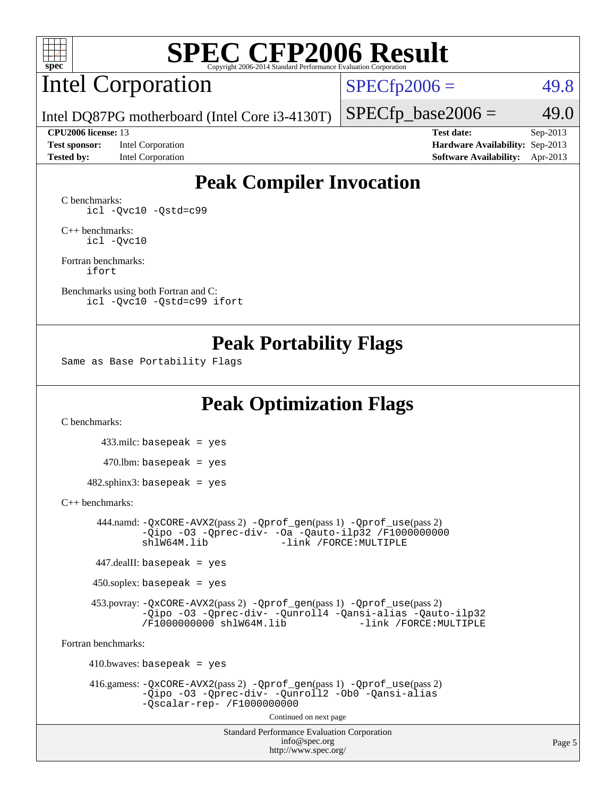

# Intel Corporation

 $SPECfp2006 = 49.8$  $SPECfp2006 = 49.8$ 

Intel DQ87PG motherboard (Intel Core i3-4130T)

#### **[CPU2006 license:](http://www.spec.org/auto/cpu2006/Docs/result-fields.html#CPU2006license)** 13 **[Test date:](http://www.spec.org/auto/cpu2006/Docs/result-fields.html#Testdate)** Sep-2013

**[Test sponsor:](http://www.spec.org/auto/cpu2006/Docs/result-fields.html#Testsponsor)** Intel Corporation **[Hardware Availability:](http://www.spec.org/auto/cpu2006/Docs/result-fields.html#HardwareAvailability)** Sep-2013

 $SPECfp\_base2006 = 49.0$ 

**[Tested by:](http://www.spec.org/auto/cpu2006/Docs/result-fields.html#Testedby)** Intel Corporation **[Software Availability:](http://www.spec.org/auto/cpu2006/Docs/result-fields.html#SoftwareAvailability)** Apr-2013

# **[Peak Compiler Invocation](http://www.spec.org/auto/cpu2006/Docs/result-fields.html#PeakCompilerInvocation)**

[C benchmarks](http://www.spec.org/auto/cpu2006/Docs/result-fields.html#Cbenchmarks): [icl -Qvc10](http://www.spec.org/cpu2006/results/res2014q3/cpu2006-20140701-30194.flags.html#user_CCpeak_intel_icc_vc10_9607f3ecbcdf68042245f068e51b40c1) [-Qstd=c99](http://www.spec.org/cpu2006/results/res2014q3/cpu2006-20140701-30194.flags.html#user_CCpeak_intel_compiler_c99_mode_1a3d110e3041b3ad4466830521bdad2a)

[C++ benchmarks:](http://www.spec.org/auto/cpu2006/Docs/result-fields.html#CXXbenchmarks) [icl -Qvc10](http://www.spec.org/cpu2006/results/res2014q3/cpu2006-20140701-30194.flags.html#user_CXXpeak_intel_icc_vc10_9607f3ecbcdf68042245f068e51b40c1)

[Fortran benchmarks](http://www.spec.org/auto/cpu2006/Docs/result-fields.html#Fortranbenchmarks): [ifort](http://www.spec.org/cpu2006/results/res2014q3/cpu2006-20140701-30194.flags.html#user_FCpeak_intel_ifort_8a5e5e06b19a251bdeaf8fdab5d62f20)

[Benchmarks using both Fortran and C](http://www.spec.org/auto/cpu2006/Docs/result-fields.html#BenchmarksusingbothFortranandC): [icl -Qvc10](http://www.spec.org/cpu2006/results/res2014q3/cpu2006-20140701-30194.flags.html#user_CC_FCpeak_intel_icc_vc10_9607f3ecbcdf68042245f068e51b40c1) [-Qstd=c99](http://www.spec.org/cpu2006/results/res2014q3/cpu2006-20140701-30194.flags.html#user_CC_FCpeak_intel_compiler_c99_mode_1a3d110e3041b3ad4466830521bdad2a) [ifort](http://www.spec.org/cpu2006/results/res2014q3/cpu2006-20140701-30194.flags.html#user_CC_FCpeak_intel_ifort_8a5e5e06b19a251bdeaf8fdab5d62f20)

## **[Peak Portability Flags](http://www.spec.org/auto/cpu2006/Docs/result-fields.html#PeakPortabilityFlags)**

Same as Base Portability Flags

# **[Peak Optimization Flags](http://www.spec.org/auto/cpu2006/Docs/result-fields.html#PeakOptimizationFlags)**

[C benchmarks](http://www.spec.org/auto/cpu2006/Docs/result-fields.html#Cbenchmarks):

 433.milc: basepeak = yes  $470.1$ bm: basepeak = yes

 $482$ .sphinx3: basepeak = yes

#### [C++ benchmarks:](http://www.spec.org/auto/cpu2006/Docs/result-fields.html#CXXbenchmarks)

 444.namd: [-QxCORE-AVX2](http://www.spec.org/cpu2006/results/res2014q3/cpu2006-20140701-30194.flags.html#user_peakPASS2_CXXFLAGSPASS2_LDFLAGS444_namd_f-QxAVX2_f98716b5f9e905f99c943c56f21bf430)(pass 2) [-Qprof\\_gen](http://www.spec.org/cpu2006/results/res2014q3/cpu2006-20140701-30194.flags.html#user_peakPASS1_CXXFLAGSPASS1_LDFLAGS444_namd_Qprof_gen)(pass 1) [-Qprof\\_use](http://www.spec.org/cpu2006/results/res2014q3/cpu2006-20140701-30194.flags.html#user_peakPASS2_CXXFLAGSPASS2_LDFLAGS444_namd_Qprof_use)(pass 2) [-Qipo](http://www.spec.org/cpu2006/results/res2014q3/cpu2006-20140701-30194.flags.html#user_peakOPTIMIZE444_namd_f-Qipo) [-O3](http://www.spec.org/cpu2006/results/res2014q3/cpu2006-20140701-30194.flags.html#user_peakOPTIMIZE444_namd_f-O3) [-Qprec-div-](http://www.spec.org/cpu2006/results/res2014q3/cpu2006-20140701-30194.flags.html#user_peakOPTIMIZE444_namd_f-Qprec-div-) [-Oa](http://www.spec.org/cpu2006/results/res2014q3/cpu2006-20140701-30194.flags.html#user_peakOPTIMIZE444_namd_f-Oa) [-Qauto-ilp32](http://www.spec.org/cpu2006/results/res2014q3/cpu2006-20140701-30194.flags.html#user_peakCXXOPTIMIZE444_namd_f-Qauto-ilp32) [/F1000000000](http://www.spec.org/cpu2006/results/res2014q3/cpu2006-20140701-30194.flags.html#user_peakEXTRA_LDFLAGS444_namd_set_stack_space_25d7749c1988d91b7f93afbc0ec53727)0<br>shlW64M.lib -link /FORCE:MULTIPLE -link /FORCE: MULTIPLE

447.dealII: basepeak = yes

 $450$ .soplex: basepeak = yes

 453.povray: [-QxCORE-AVX2](http://www.spec.org/cpu2006/results/res2014q3/cpu2006-20140701-30194.flags.html#user_peakPASS2_CXXFLAGSPASS2_LDFLAGS453_povray_f-QxAVX2_f98716b5f9e905f99c943c56f21bf430)(pass 2) [-Qprof\\_gen](http://www.spec.org/cpu2006/results/res2014q3/cpu2006-20140701-30194.flags.html#user_peakPASS1_CXXFLAGSPASS1_LDFLAGS453_povray_Qprof_gen)(pass 1) [-Qprof\\_use](http://www.spec.org/cpu2006/results/res2014q3/cpu2006-20140701-30194.flags.html#user_peakPASS2_CXXFLAGSPASS2_LDFLAGS453_povray_Qprof_use)(pass 2) [-Qipo](http://www.spec.org/cpu2006/results/res2014q3/cpu2006-20140701-30194.flags.html#user_peakOPTIMIZE453_povray_f-Qipo) [-O3](http://www.spec.org/cpu2006/results/res2014q3/cpu2006-20140701-30194.flags.html#user_peakOPTIMIZE453_povray_f-O3) [-Qprec-div-](http://www.spec.org/cpu2006/results/res2014q3/cpu2006-20140701-30194.flags.html#user_peakOPTIMIZE453_povray_f-Qprec-div-) [-Qunroll4](http://www.spec.org/cpu2006/results/res2014q3/cpu2006-20140701-30194.flags.html#user_peakOPTIMIZE453_povray_f-Qunroll_013b1c0ea3aa84ef2c65e488bcc3d968) [-Qansi-alias](http://www.spec.org/cpu2006/results/res2014q3/cpu2006-20140701-30194.flags.html#user_peakOPTIMIZE453_povray_f-Qansi-alias) [-Qauto-ilp32](http://www.spec.org/cpu2006/results/res2014q3/cpu2006-20140701-30194.flags.html#user_peakCXXOPTIMIZE453_povray_f-Qauto-ilp32) [/F1000000000](http://www.spec.org/cpu2006/results/res2014q3/cpu2006-20140701-30194.flags.html#user_peakEXTRA_LDFLAGS453_povray_set_stack_space_25d7749c1988d91b7f93afbc0ec53727) [shlW64M.lib](http://www.spec.org/cpu2006/results/res2014q3/cpu2006-20140701-30194.flags.html#user_peakEXTRA_LIBS453_povray_SmartHeap64_c4f7f76711bdf8c0633a5c1edf6e5396)

[Fortran benchmarks](http://www.spec.org/auto/cpu2006/Docs/result-fields.html#Fortranbenchmarks):

 $410.bwaves: basepeak = yes$  416.gamess: [-QxCORE-AVX2](http://www.spec.org/cpu2006/results/res2014q3/cpu2006-20140701-30194.flags.html#user_peakPASS2_FFLAGSPASS2_LDFLAGS416_gamess_f-QxAVX2_f98716b5f9e905f99c943c56f21bf430)(pass 2) [-Qprof\\_gen](http://www.spec.org/cpu2006/results/res2014q3/cpu2006-20140701-30194.flags.html#user_peakPASS1_FFLAGSPASS1_LDFLAGS416_gamess_Qprof_gen)(pass 1) [-Qprof\\_use](http://www.spec.org/cpu2006/results/res2014q3/cpu2006-20140701-30194.flags.html#user_peakPASS2_FFLAGSPASS2_LDFLAGS416_gamess_Qprof_use)(pass 2) [-Qipo](http://www.spec.org/cpu2006/results/res2014q3/cpu2006-20140701-30194.flags.html#user_peakOPTIMIZE416_gamess_f-Qipo) [-O3](http://www.spec.org/cpu2006/results/res2014q3/cpu2006-20140701-30194.flags.html#user_peakOPTIMIZE416_gamess_f-O3) [-Qprec-div-](http://www.spec.org/cpu2006/results/res2014q3/cpu2006-20140701-30194.flags.html#user_peakOPTIMIZE416_gamess_f-Qprec-div-) [-Qunroll2](http://www.spec.org/cpu2006/results/res2014q3/cpu2006-20140701-30194.flags.html#user_peakOPTIMIZE416_gamess_f-Qunroll_1d9456aa650e77fc2a0cf43cef3fa08c) [-Ob0](http://www.spec.org/cpu2006/results/res2014q3/cpu2006-20140701-30194.flags.html#user_peakOPTIMIZE416_gamess_f-Ob_n_fbe6f6428adb7d4b74b1e99bb2444c2d) [-Qansi-alias](http://www.spec.org/cpu2006/results/res2014q3/cpu2006-20140701-30194.flags.html#user_peakOPTIMIZE416_gamess_f-Qansi-alias) [-Qscalar-rep-](http://www.spec.org/cpu2006/results/res2014q3/cpu2006-20140701-30194.flags.html#user_peakOPTIMIZE416_gamess_f-Qscalar-rep_02cb9e11a5340d80ab3062d84e5dfb2e) [/F1000000000](http://www.spec.org/cpu2006/results/res2014q3/cpu2006-20140701-30194.flags.html#user_peakEXTRA_LDFLAGS416_gamess_set_stack_space_25d7749c1988d91b7f93afbc0ec53727) Continued on next page